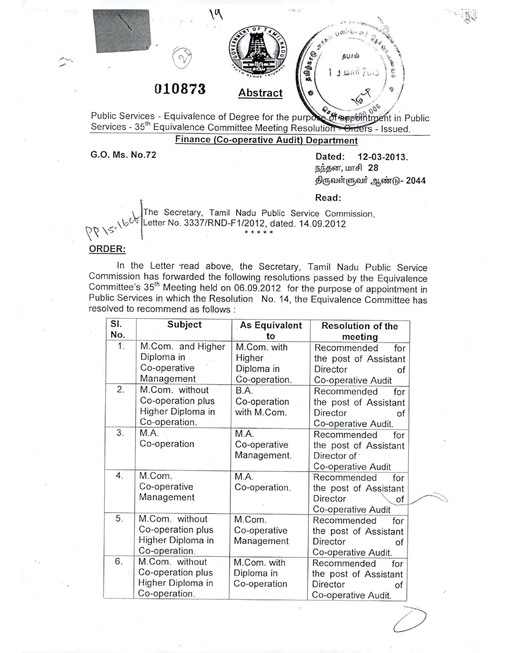

Public Services - Equivalence of Degree for the purpose of appointment in Public Services - 35<sup>th</sup> Equivalence Committee Meeting Resolution + Orders - Issued.

# Finance (Co-operative Audit) Department

G.O. Ms. NO.72 Dated: 12-03-2013. நந்தன, மாசி 28 திருவள்ளுவர் ஆண்டு - 2044

Read:

The Secretary, Tamil Nadu Public Service Commission, 0 NS / <sup>Letter</sup> No. 3337/RND-F1/2012, dated. 14.09.2012}<br>\* \* \* \* \*

#### ORDER:

In the Letter 'read above, the Secretary, Tamil Nadu Public Service Commission has forwarded the following resolutions passed by the Equivalence Committee's 35th Meeting held on 06.09.2012 for the purpose of appointment in Public Services in which the Resolution No. 14, the Equivalence Committee has resolved to recommend as follows:

| SI.<br>No.       | Subject           | <b>As Equivalent</b>  | <b>Resolution of the</b> |
|------------------|-------------------|-----------------------|--------------------------|
| 1.               | M.Com. and Higher | to<br>M.Com. with     | meeting                  |
|                  | Diploma in        | Higher                | Recommended<br>for       |
|                  | Co-operative      | Diploma in            | the post of Assistant    |
|                  | Management        |                       | Director<br>οf           |
| $\overline{2}$ . | M.Com. without    | Co-operation.<br>B.A. | Co-operative Audit       |
|                  | Co-operation plus |                       | Recommended<br>for       |
|                  |                   | Co-operation          | the post of Assistant    |
|                  | Higher Diploma in | with M.Com.           | Director<br>of           |
|                  | Co-operation.     |                       | Co-operative Audit.      |
| 3.               | M.A.              | M.A.                  | Recommended<br>for       |
|                  | Co-operation      | Co-operative          | the post of Assistant    |
|                  |                   | Management.           | Director of :            |
|                  |                   |                       | Co-operative Audit       |
| 4.               | M.Com.            | M.A.                  | Recommended<br>for       |
|                  | Co-operative      | Co-operation.         | the post of Assistant    |
|                  | Management        |                       | Director<br>οf           |
|                  |                   |                       | Co-operative Audit       |
| 5.               | M.Com. without    | M.Com.                | Recommended<br>for       |
|                  | Co-operation plus | Co-operative          | the post of Assistant    |
|                  | Higher Diploma in | Management            | Director<br>οf           |
|                  | Co-operation.     |                       | Co-operative Audit.      |
| 6.               | M.Com. without    | M.Com. with           | Recommended<br>for       |
|                  | Co-operation plus | Diploma in            | the post of Assistant    |
|                  | Higher Diploma in | Co-operation          | Director<br>of           |
|                  | Co-operation.     |                       | Co-operative Audit.      |